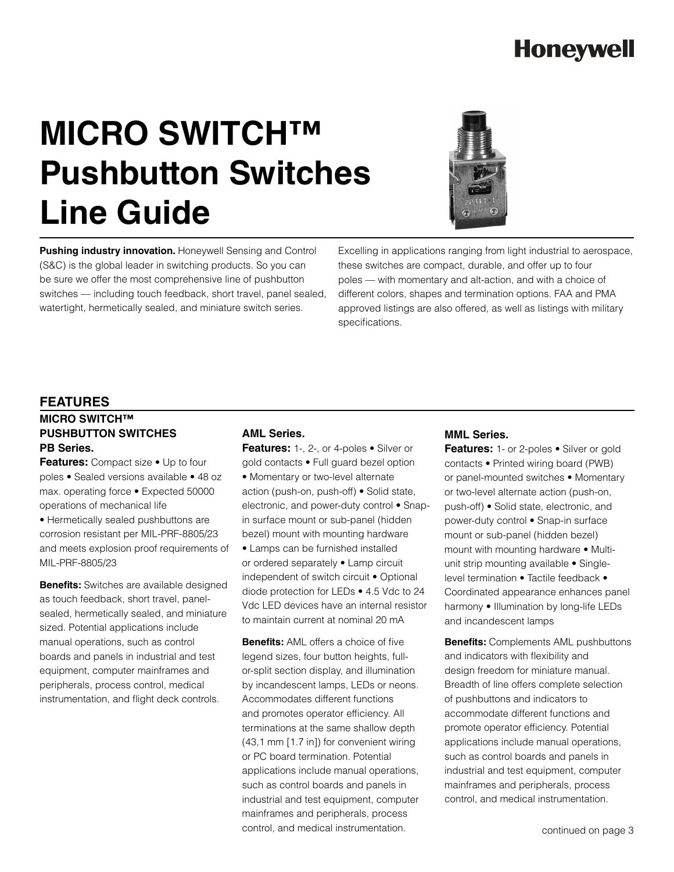## **Honeywell**

# **MICRO SWITCH™ Pushbutton Switches Line Guide**



**Pushing industry innovation.** Honeywell Sensing and Control (S&C) is the global leader in switching products. So you can be sure we offer the most comprehensive line of pushbutton switches — including touch feedback, short travel, panel sealed, watertight, hermetically sealed, and miniature switch series.

Excelling in applications ranging from light industrial to aerospace, these switches are compact, durable, and offer up to four poles — with momentary and alt-action, and with a choice of different colors, shapes and termination options. FAA and PMA approved listings are also offered, as well as listings with military specifications.

#### **FEATURES**

### **MICRO SWITCH™ PUSHBUTTON SWITCHES PB Series.**

**Features:** Compact size • Up to four poles • Sealed versions available • 48 oz max. operating force • Expected 50000 operations of mechanical life

• Hermetically sealed pushbuttons are corrosion resistant per MIL-PRF-8805/23 and meets explosion proof requirements of MIL-PRF-8805/23

**Benefits:** Switches are available designed as touch feedback, short travel, panelsealed, hermetically sealed, and miniature sized. Potential applications include manual operations, such as control boards and panels in industrial and test equipment, computer mainframes and peripherals, process control, medical instrumentation, and flight deck controls.

### **AML Series.**

**Features:** 1-, 2-, or 4-poles • Silver or gold contacts • Full guard bezel option • Momentary or two-level alternate action (push-on, push-off) • Solid state, electronic, and power-duty control • Snapin surface mount or sub-panel (hidden bezel) mount with mounting hardware • Lamps can be furnished installed or ordered separately • Lamp circuit independent of switch circuit • Optional diode protection for LEDs • 4.5 Vdc to 24 Vdc LED devices have an internal resistor to maintain current at nominal 20 mA

**Benefits:** AML offers a choice of five legend sizes, four button heights, fullor-split section display, and illumination by incandescent lamps, LEDs or neons. Accommodates different functions and promotes operator efficiency. All terminations at the same shallow depth (43,1 mm [1.7 in]) for convenient wiring or PC board termination. Potential applications include manual operations, such as control boards and panels in industrial and test equipment, computer mainframes and peripherals, process control, and medical instrumentation.

#### **MML Series.**

Features: 1- or 2-poles • Silver or gold contacts • Printed wiring board (PWB) or panel-mounted switches • Momentary or two-level alternate action (push-on, push-off) • Solid state, electronic, and power-duty control • Snap-in surface mount or sub-panel (hidden bezel) mount with mounting hardware • Multiunit strip mounting available • Singlelevel termination • Tactile feedback • Coordinated appearance enhances panel harmony • Illumination by long-life LEDs and incandescent lamps

**Benefits:** Complements AML pushbuttons and indicators with flexibility and design freedom for miniature manual. Breadth of line offers complete selection of pushbuttons and indicators to accommodate different functions and promote operator efficiency. Potential applications include manual operations, such as control boards and panels in industrial and test equipment, computer mainframes and peripherals, process control, and medical instrumentation.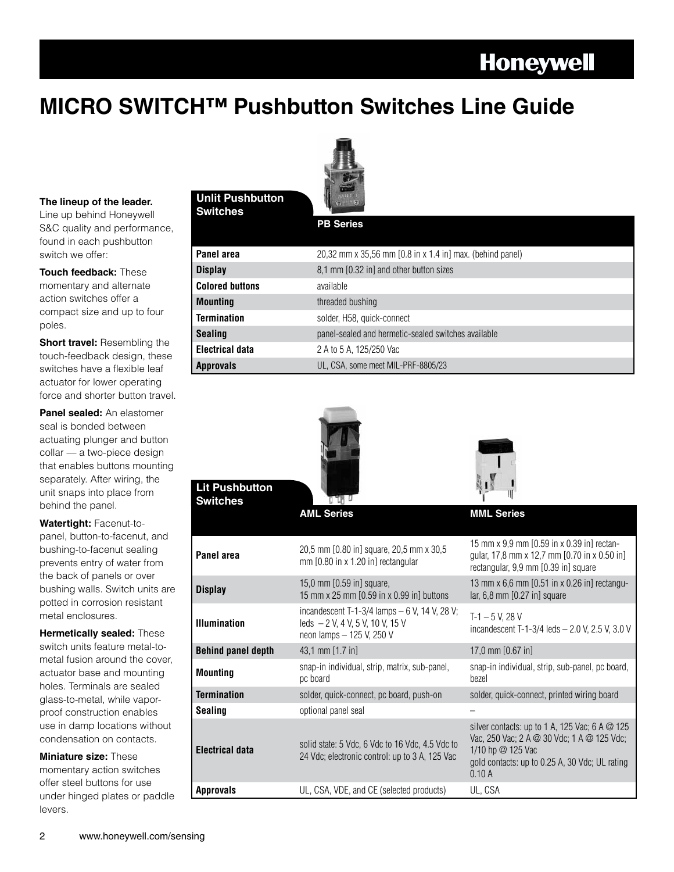### **Honeywell**

### **MICRO SWITCH™ Pushbutton Switches Line Guide**



**Switches The lineup of the leader. The lineup of the leader. Switches** 

Line up behind Honeywell S&C quality and performance, found in each pushbutton switch we offer:

**Touch feedback:** These momentary and alternate action switches offer a compact size and up to four poles.

**Short travel:** Resembling the touch-feedback design, these switches have a flexible leaf actuator for lower operating force and shorter button travel.

**Panel sealed:** An elastomer seal is bonded between actuating plunger and button collar — a two-piece design that enables buttons mounting separately. After wiring, the unit snaps into place from behind the panel.

**Watertight:** Facenut-topanel, button-to-facenut, and bushing-to-facenut sealing prevents entry of water from the back of panels or over bushing walls. Switch units are potted in corrosion resistant metal enclosures.

**Hermetically sealed:** These switch units feature metal-tometal fusion around the cover, actuator base and mounting holes. Terminals are sealed glass-to-metal, while vaporproof construction enables use in damp locations without condensation on contacts.

**Miniature size:** These momentary action switches offer steel buttons for use under hinged plates or paddle levers.

### **Unlit Pushbutton**

**PB Series**

| <b>Approvals</b>       | UL, CSA, some meet MIL-PRF-8805/23                        |
|------------------------|-----------------------------------------------------------|
| Electrical data        | 2 A to 5 A, 125/250 Vac                                   |
| <b>Sealing</b>         | panel-sealed and hermetic-sealed switches available       |
| <b>Termination</b>     | solder, H58, quick-connect                                |
| <b>Mounting</b>        | threaded bushing                                          |
| <b>Colored buttons</b> | available                                                 |
| <b>Display</b>         | 8,1 mm [0.32 in] and other button sizes                   |
| Panel area             | 20,32 mm x 35,56 mm [0.8 in x 1.4 in] max. (behind panel) |

| <b>Lit Pushbutton</b><br><b>Switches</b> |                                                                                                                  |                                                                                                                                                                                     |
|------------------------------------------|------------------------------------------------------------------------------------------------------------------|-------------------------------------------------------------------------------------------------------------------------------------------------------------------------------------|
|                                          | <b>AML Series</b>                                                                                                | <b>MML Series</b>                                                                                                                                                                   |
| Panel area                               | 20,5 mm [0.80 in] square, 20,5 mm x 30,5<br>$mm$ [0.80 in x 1.20 in] rectangular                                 | 15 mm x 9.9 mm [0.59 in x 0.39 in] rectan-<br>gular, 17,8 mm x 12,7 mm [0.70 in x 0.50 in]<br>rectangular, 9,9 mm [0.39 in] square                                                  |
| <b>Display</b>                           | 15,0 mm [0.59 in] square,<br>15 mm x 25 mm [0.59 in x 0.99 in] buttons                                           | 13 mm x 6,6 mm [0.51 in x 0.26 in] rectangu-<br>lar, $6,8$ mm $[0.27$ in] square                                                                                                    |
| <b>Illumination</b>                      | incandescent T-1-3/4 lamps $-6$ V, 14 V, 28 V;<br>leds $-2$ V, 4 V, 5 V, 10 V, 15 V<br>neon lamps - 125 V, 250 V | $T-1 - 5 V$ , 28 V<br>incandescent T-1-3/4 leds - 2.0 V, 2.5 V, 3.0 V                                                                                                               |
| <b>Behind panel depth</b>                | 43,1 mm [1.7 in]                                                                                                 | 17,0 mm [0.67 in]                                                                                                                                                                   |
| <b>Mounting</b>                          | snap-in individual, strip, matrix, sub-panel,<br>pc board                                                        | snap-in individual, strip, sub-panel, pc board,<br>bezel                                                                                                                            |
| <b>Termination</b>                       | solder, quick-connect, pc board, push-on                                                                         | solder, quick-connect, printed wiring board                                                                                                                                         |
| <b>Sealing</b>                           | optional panel seal                                                                                              |                                                                                                                                                                                     |
| <b>Electrical data</b>                   | solid state: 5 Vdc, 6 Vdc to 16 Vdc, 4.5 Vdc to<br>24 Vdc; electronic control: up to 3 A, 125 Vac                | silver contacts: up to 1 A, 125 Vac; 6 A $\omega$ 125<br>Vac, 250 Vac; 2 A @ 30 Vdc; 1 A @ 125 Vdc;<br>1/10 hp @ 125 Vac<br>gold contacts: up to 0.25 A, 30 Vdc; UL rating<br>0.10A |
| <b>Approvals</b>                         | UL, CSA, VDE, and CE (selected products)                                                                         | UL, CSA                                                                                                                                                                             |